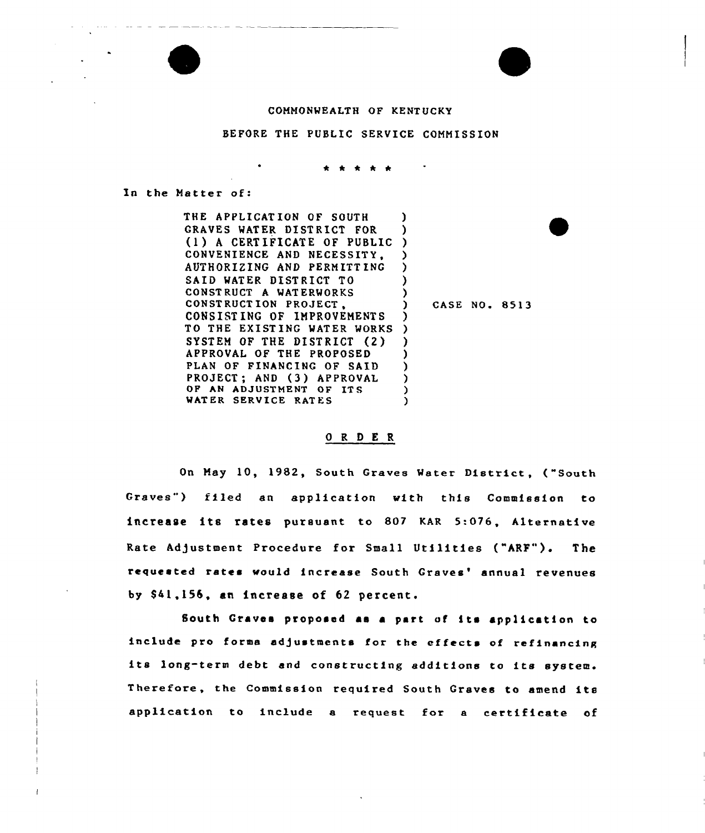#### COHHONMEALTH OF KENT UCKY

## BEFORE THE PUBLIC SERVICE COHHISSION

\* \* \* \* \*

In the Hatter of:

THE APPLICAT ION OF SOUTH GRAVES MATER DISTRICT FOR (1) <sup>A</sup> CERT IFICATE OF PUBLIC ) CONVENIENCE AND NECESSITY, AUTHORIZING AND PERHITT INC SAID MATER DISTRICT TO CONST RUCT A WAT ERWORKS CONSTRUCT ION PROJECT, CONSIST ING OF IHPROVEHENT S TO THE EXISTING WATER WORKS SYSTEM OF THE DISTRICT (2) APPROVAL OF THE PROPOSED PLAN OF FINANCING OF SAID PROJECT; AND (3) APPROVAL OF AN ADJUSTMENT OF ITS WATER SERVICE RATES )<br>. ) ) ) ) ) ) CASE NO. 8513 ) ) ) ) ) ) ) )

### 0 <sup>R</sup> <sup>D</sup> E R

On Hay 10, 1982, South Graves Meter District, ("South Graves") filed an application with this Commission to increase its rates pursuant to 807 KAR 5:0?6, Alternative Rate Adjustment Procedure for Small Utilities ("ARF"). The requested rates would increase South Graves' annual revenues by S41,156, an increase of 62 percent.

South Graves proposed as <sup>a</sup> part of its application to include pro forma adjustments for the effects of refinancing its long-term debt and constructing additions to its system. Therefore, the Commission required South Graves to amend its application to include e request for <sup>a</sup> certificate of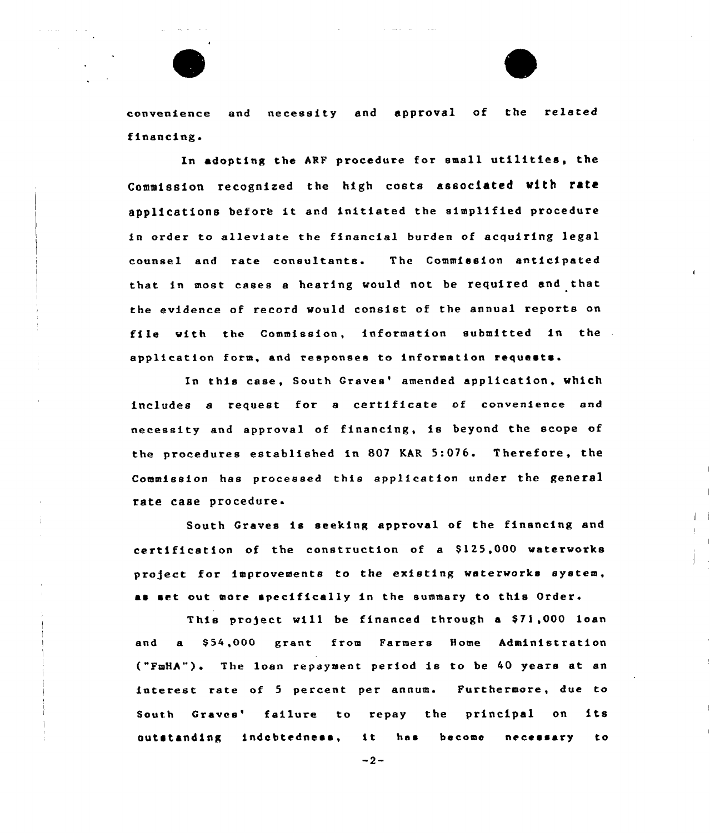convenience and necessity and approval of the related financing.

In adopting the ARF procedure for small utilities, the Commission recognized the high costs associated with rata applications before it and initiated the simplified procedure in order to alleviate the financial burden of acquiring legal counsel and rate consultants. The Commission anticipated that in most cases a hearing would not be required and that the evidence of record would consist of the annual reports on file with the Commission, information submitted in the application form, and responses to information requests.

In this case, South Graves' amended application, which includes <sup>a</sup> request for <sup>a</sup> certificate of convenience end necessity and approval of financing, is beyond the scope of the proceduxes established in 807 KAR 5:076. Therefore, the Commission has processed this application under the general rate case procedure.

South Craves is seeking approval of the financing and certification of the construction of a \$125,000 waterworks pro)ect for improvements to the existing waterworks system, as set out more specifically in the summary to this Order.

This project will be financed through a \$71,000 loan and a \$54,000 grant from Farmers Home Administration ("FmHA") <sup>~</sup> The loan repayment period is to be 40 years at an interest rate of 5 percent per annum. Furthermore, due to South Graves' failure to repay the principal on its outstanding indebtedness, it has become necessary to

 $-2-$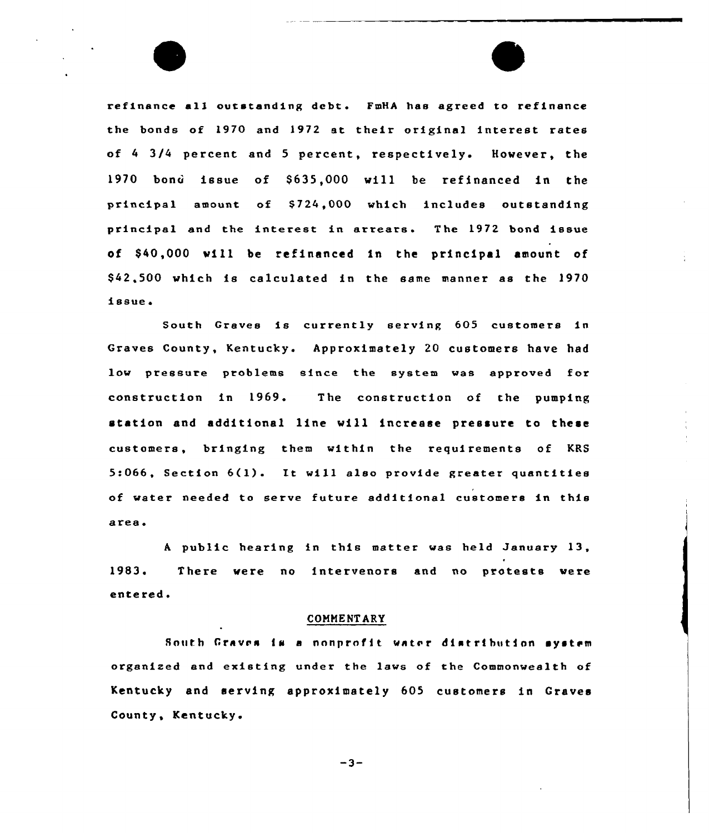refinance all outstanding debt. FmHA has agreed to refinance the bonds of 1970 and 1972 at their original interest rates of <sup>4</sup> 3/4 percent and <sup>5</sup> percent, respectively. However, the 1970 bonci issue of S635,000 will be refinanced in the principal amount of \$724,000 which includes outstanding principal and the interest in arrears. The 1972 bond issue of \$ 40,000 will be refinanced in the principal amount of \$ 42,500 which is calculated in the same manner as the 1970 issue

South Graves is currently serving 60S customers in Graves County, Kentucky. Approximately 20 customers have had low pressure problems since the system was approved for construction in 1969. The construction of the pumping station and additional line will increase pressure to these customers, bringing them within the requirements of KRS 5:066, Section 6(1). It will also provide greater quantities of water needed to serve future additional customers in this area.

<sup>A</sup> public hearing in this matter was held January 13, 1983. There were no intervenors and no protests were entered.

## COMMENTARY

South Graves is a nonprofit water distribution system organized and existing under the laws of the Commonwealth of Kentucky and serving approximately 605 customers in Craves County, Kentucky'

 $-3-$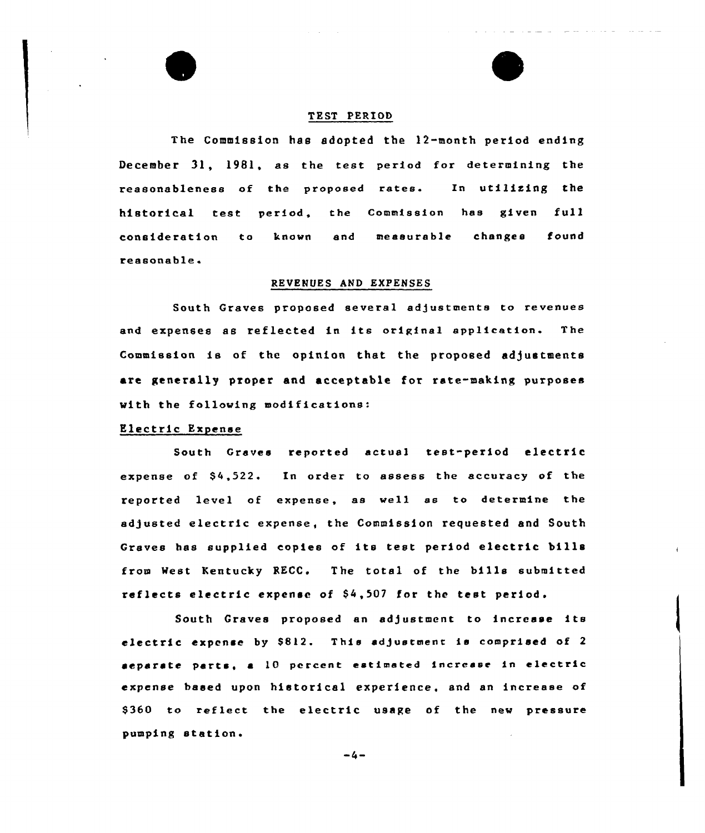## TRST PERIOD

The Commission has adopted the 12-month period ending December 31, 1981, as the test period for determining the reasonableness of the proposed rates. In utilizing the historical test period, the Commission has given full consideration to known and measurable changes found reasonable

### REVENUES AND EXPENSES

South Graves proposed several adjustments to revenues and expenses as reflected in its original application. The Commission is of the opinion that the proposed adjustments are generally proper and acceptable for rate-making purposes with the following modifications:

# Electric Expense

South Graves reported actual test-period electric expense of  $$4,522$ . In order to assess the accuracy of the reported level of expense, as well as to determine the adjusted electric expense, the Commission requested and South Graves has supplied copies of its test period electric bills from Nest Kentucky RECC. The total of the bills submitted reflects electric expense of \$4,507 for the test period.

South Graves proposed an adjustment to increase its electric expense by \$812. This adjustment is comprised of 2  $e$ eparate parts, a  $10$  percent estimated increase in electric expense based upon historical experience, and an increase of S360 to reflect the electric usage of the new pressure pumping station.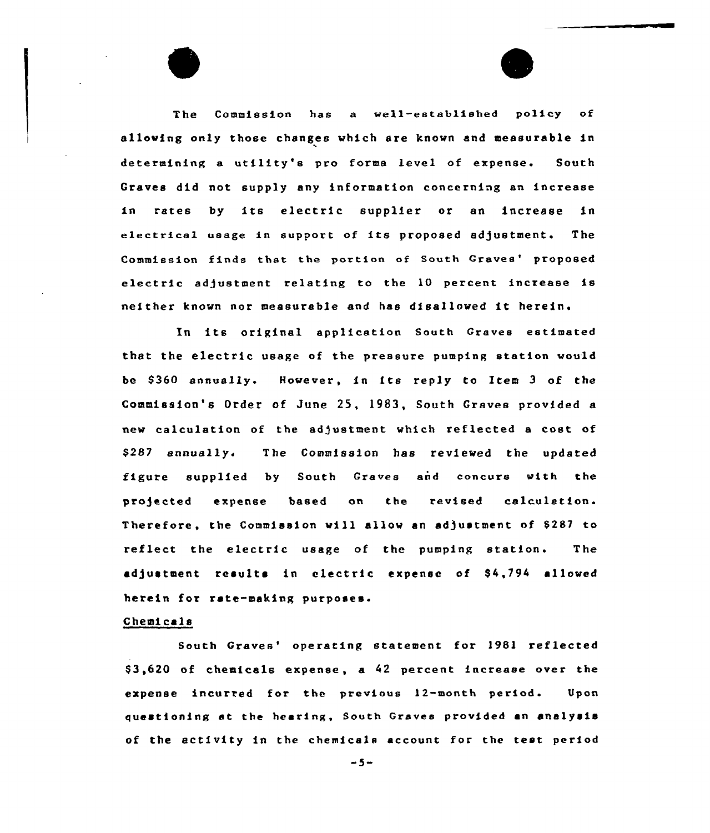The Commission has a well-established policy of allowing only those changes which are known and measurable in determining a utility's pro forma level of expense. South Graves did not supply any information concerning an increase in rates by its electric supplier or an increase in electrical usage in support of its proposed adjustment. The Commission finds that the portion of South Graves' proposed electric adjustment relating to the 10 percent increase is neither known nor measurable end has disallowed it herein.

In its original applicetion South Graves estimated that the electric usage of the pressure pumping station would be S360 annually. However, in its reply to Item <sup>3</sup> of the Commission's Order of June 25, 1983, South Graves provided a new calculation of the adjustment which reflected a cost of \$ 287 annually. The Commission has reviewed the updated figure supplied by South Graves end concurs with the projected expense based on the revised calculation. Therefore, the Commission will allow an adjustment of 8287 to reflect the electric usage of the pumping station. The adjustment results in electric expense of S4,794 allowed herein for rate-making purposes.

## Chemicals

South Graves' operating statement for 1981 reflected \$ 3,620 of chemicals expense, a 42 percent increase over the expense iacurred for the previous 12-month period. Upon questioning at the hearing, South Graves provided an analysis of the activity in the chemicals account for the test period

 $-5-$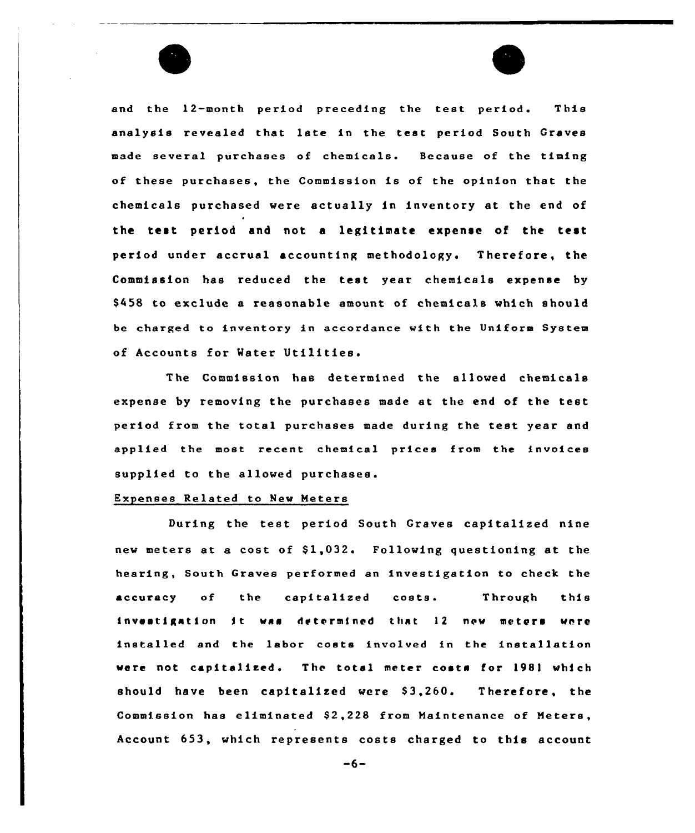and the 12-month period preceding the test period. This analysis revealed that late in the test period South Graves made several purchases of chemicals. Because of the timing of these purchases, the Commission is of the opinion that the chemicals purchased were actually in inventory at the end of the test period and not <sup>a</sup> legitimate expense of the test period under accrual accounting methodology. Therefore, the Commission has reduced the test year chemicals expense by \$458 to exclude a reasonable amount of chemicals which should be charged to inventory in accordance with the Uniform System of Accounts for Water

Commission has determined the allowed chemicals expense by removing the purchases made at the end of the test period from the total purchases made during the test year and applied the most recent chemical prices from the invoices supplied to the allowed purchases.

# Expenses Related to New Meters

During the test period South Graves capitalised nine new meters at a cost of \$1,032. Following questioning at the hearing, South Graves performed an investigation to check the accuracy of the capitalized coats. Through this investigation it was determined that 12 new meters were installed and the labor costs involved in the installation were not capitalized. The total meter costs for 1981 which should have been capitalized were \$3,260. Therefore, the Commission has eliminated \$2,228 from Maintenance of Meters, Account 653, which represents costs charged to this account

 $-6-$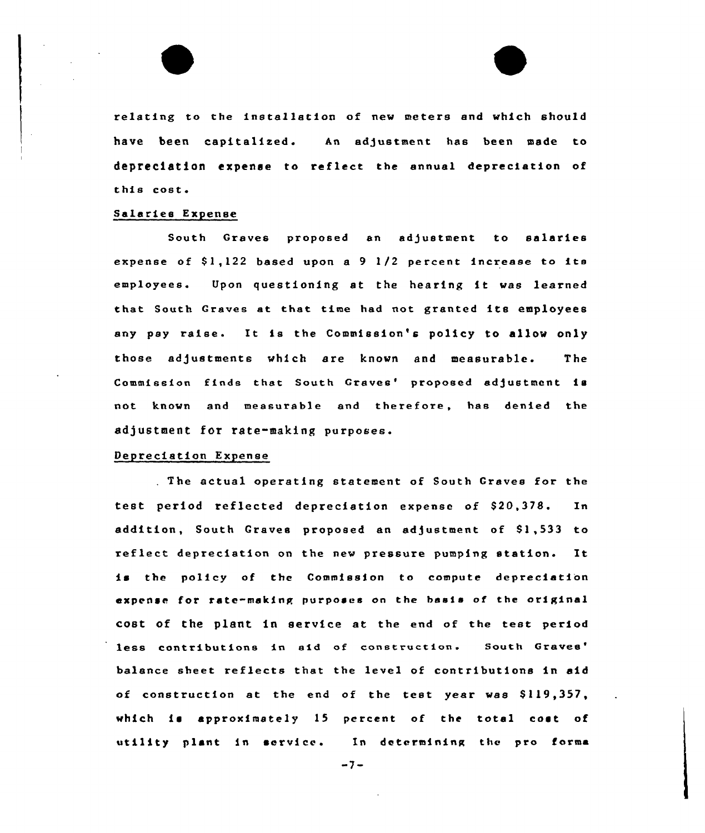

### Salaries Expense

South Graves proposed an adjustment to salaries expense of  $$1,122$  based upon a 9  $1/2$  percent increase to its employees. Upon questioning at the hearing it was learned that South Graves at that time had not granted its employees any pay raise. It is the Commission's policy to allow only those adjustments which are known and measurable. The Commission finds that South Graves' proposed adjustment is not known and measurable and therefore, has denied the adjustment for rate-making purposes.

# Depreciation Expense

The actual operating statement of South Graves for the test period reflected depreciation expense of S20,378. In addition, South Graves proposed an adjustment of \$1,533 to reflect depreciation on the new pressure pumping station. It is the policy of the Commission to compute depreciation expense for rate-making purposes on the basis of the original cost of the plant in service at the end of the test period less contributions in aid of construction. South Graves' balance sheet reflects that the level of contributions in aid of construction at the end of the test year was \$119,357, which is approximately  $15$  percent of the total cost of utility plant in service. In determining the pro forms

 $-7-$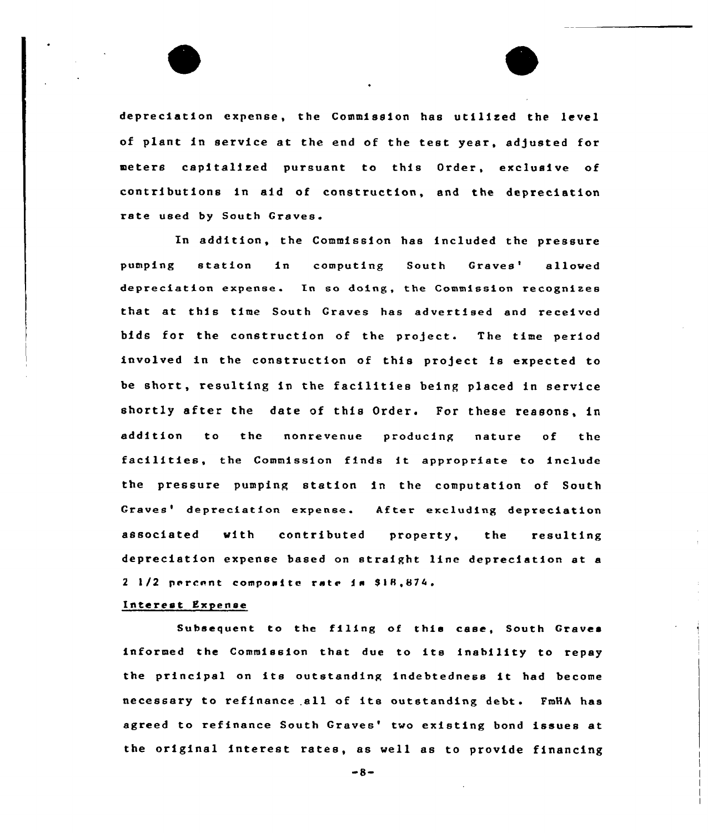depreciation expense, the Commission has utilized the level of plant in service at the end of the test year, adjusted for meters capitalized pursuant to this Order, exclusive of contributions in aid of construction, and the depreciation rate used by South Graves.

In addition, the Commission has included the pressure pumping station in computing South Graves' allow depreciation expense. In so doing, the Commission recognizes that at this time South Graves has advertised and received bids for the construction of the project. The time period involved in the construction of this project is expected to be short, resulting in the facilities being placed in service shortly after the date of this Order. For these reasons, in addition to the nonrevenue producing nature of the facilities, the Commission finds it appropriate to include the pressure pumping station in the computation of South Graves' depreciation expense. After excluding depreciation associated with contributed property, the resulting depreciation expense based on straight line depreciation at a 2 1/2 percent composite rate is \$18,874.

## Interest Expense

Subsequent to the filing of this case, South Graves informed the Commission that due to its inability to repay the principal on its outstanding indebtedness it had become necessary to refinance all of its outstanding debt. FmHA has agreed to refinance South Graves' two existing bond issues at the original interest rates, as well as to provide financing

 $-8-$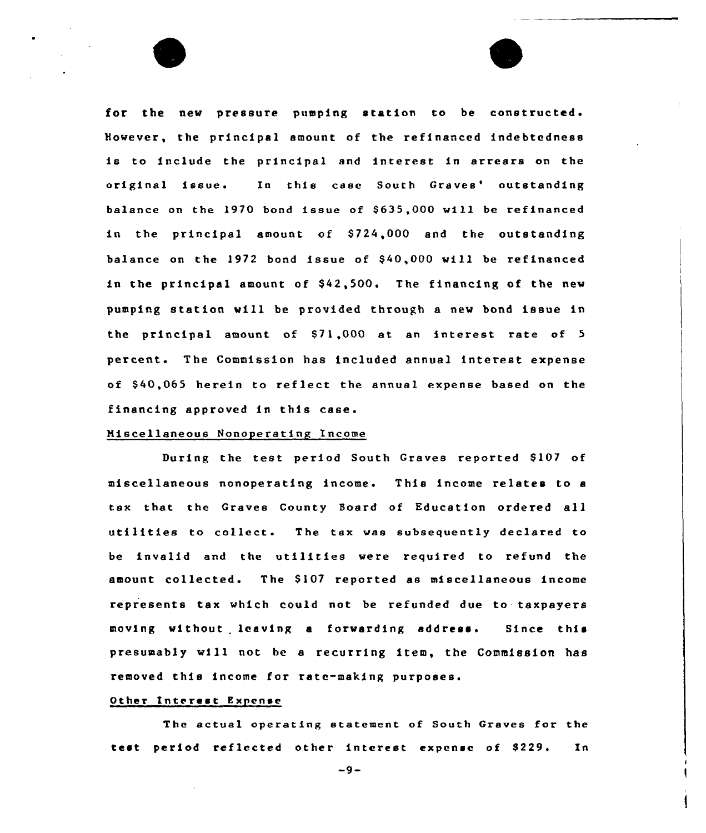for the new pressure pumping station to be constructed. the principal amount of the refinanced indebtedness is to include the principal and interest in arrears on the original issue. In this case South Graves' outstanding balance on the 1970 bond issue of \$635,000 will be refinanced in the principal amount of \$724,000 and the outstanding balance on the 1972 bond issue of \$40,000 will be refinanced in the principal amount of \$42,500. The financing of the new pumping station will be provided through a new bond issue in the principal amount of \$71,000 at an interest rate of 5 percent. The Commission has included annual interest expense of S40,065 herein to reflect the annual expense based on the financing approved in this case.

### Miscellaneous Nonoperating Income

During the test period South Graves reported S107 of miscellaneous nonoperating income This income relates to a tax that the Graves County Board of Education ordered all utilities to collect. The tax was subsequently declared to be invalid and the utilities were required to refund the amount collected. The \$107 reported as miscellaneous income represents tax which could not be refunded due to taxpayers moving without leaving <sup>a</sup> forwarding address. Since this presumably will not be a recurring item, the Commission has removed this income for rate-making purposes.

### Other Interest Expense

The actual operating statement of South Graves for the test period reflected other interest expense of \$229. In

 $-9-$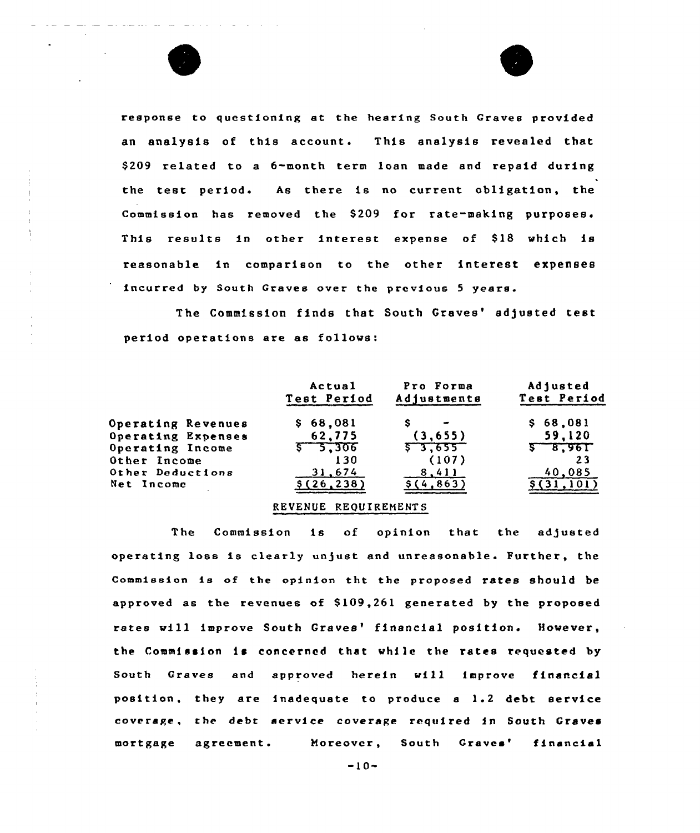



response to questioning at the hearing South Graves provided an analysis of this account. This analysis revealed that \$ 209 related to a 6-month term loan made and repaid during the test period. As there is no current obligation, the Commission has removed the \$209 for rate-making purposes. This results in other interest expense of \$18 which is reasonable in comparison to the other interest expenses incurred by South Graves over the previous <sup>5</sup> years.

The Commission finds that South Graves' adjusted test period operations are as follows:

|                           | Actual<br>Test Period | Pro Forma<br>Adjustments | Adjusted<br>Test Period |
|---------------------------|-----------------------|--------------------------|-------------------------|
| Operating Revenues        | \$68,081              |                          | \$68,081                |
| <b>Operating Expenses</b> | 62,775                | (3,655)                  | 59,120                  |
| Operating Income          | $5 - 5.306$           | 57,655                   | $5 - 8,961$             |
| Other Income              | 130                   | (107)                    | 23                      |
| Other Deductions          | 31.674                | 8,411                    | 40,085                  |
| Net Income                | \$(26, 238)           | \$(4.863)                | [31.101]                |

## REVENUE REQUIREHENTS

The Commission is of opinion that the adjusted operating loss is clearly unjust and unreasonable. Further, the Commission is of the opinion tht the proposed rates should be approved as the revenues of \$109,261 generated by the proposed rates will improve South Graves' financial position. However, the Commission is concerned that while the rates requested by South Graves and approved herein will improve financial position, they are inadequate to produce <sup>a</sup> 1.2 debt service coverage, the debt service coverage required in South Graves mortgage agreement. Moreover, South financia

-10-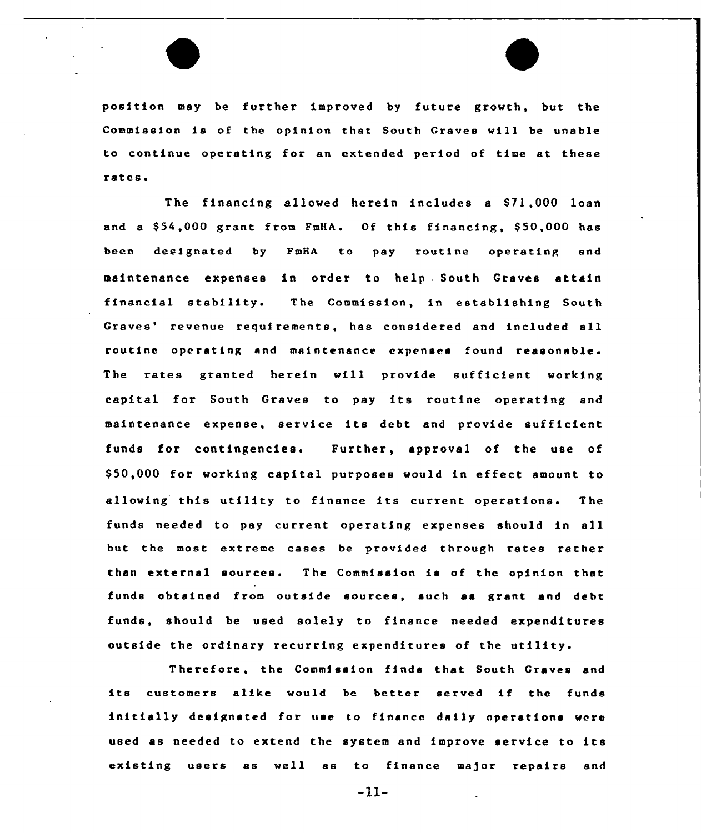position may be further improved by future growth, but the Commission is of the opinion that South Graves will be unable to continue operating for an extended period of time at these rates.

 $\overline{a}$ 

The financing allowed herein includes a \$71,000 loan and a \$54,000 grant from FmHA. Of this financing, \$50,000 has been designated by FmHA to pay routine operating and maintenance expenses in order to help . South Graves attain financial stability. The Commission, in establishing South Graves' revenue requirements, has considered and included all routine operating and maintenance expenses found reasonable . The rates granted herein will provide sufficient working capital for South Graves to pay its routine operating and maintenance expense, service its debt and provide sufficient funds for contingencies. Further, approval of the use of \$ 50,000 for working capital purposes would in effect amount to allowing this utility to finance its current operations. The funds needed to pay current operating expenses should in all but the most extreme cases be provided through rates rather than external sources. The Commission is of the opinion that funds obtained from outside sources, such as grant and debt funds, should be used solely to finance needed expenditures outside the ordinary recurring expenditures of the utility.

Therefore, the Commission finds that South Graves and its customers alike would be better served if the funds initially designated for use to finance daily operations were used as needed to extend the system and improve service to its existing users as well as to finance major repairs and

-11-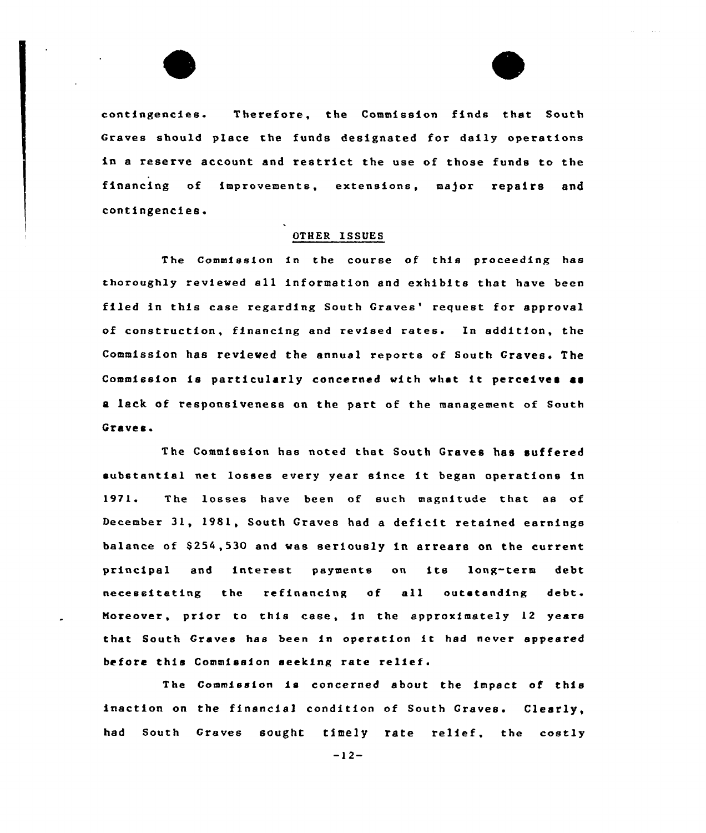

contingencies Therefore, the Commission finds that South Graves should place the funds designated for daily operations in a reserve account and restrict the use of those funds to the financing of improvements, extensions, major repairs and contingencies.

### OTHER ISSUES

The Commission in the course of this proceeding has thoroughly reviewed all information and exhibits that have been filed in this case regarding South Graves' request for approval of construction, financing and revised rates. In addition, the Commission has reviewed the annual reports of South Graves. The Commission is particularly concerned with what it perceives as a lack of responsiveness on the part of the management of South Graves.

The Commission has noted that South Graves has suffered substantial net losses every year since it began operations in<br>1971. The losses have been of such magnitude that as of December 31, 1981, South Graves had <sup>a</sup> deficit retained earnings balance of \$254,530 and was seriously in arrears on the current principal and interest paymeats on ite lang-term debt necessitating the refinancing of all outstanding debt. Moreover, prior to this case, in the approximately 12 years that South Craves has been in operation it had never appeared before this Commission seeking rate relief.

The Commission is concerned about the impact of this inaction on the financial condition of South Graves. Clearly, had South Graves sought timely rate relief, the costly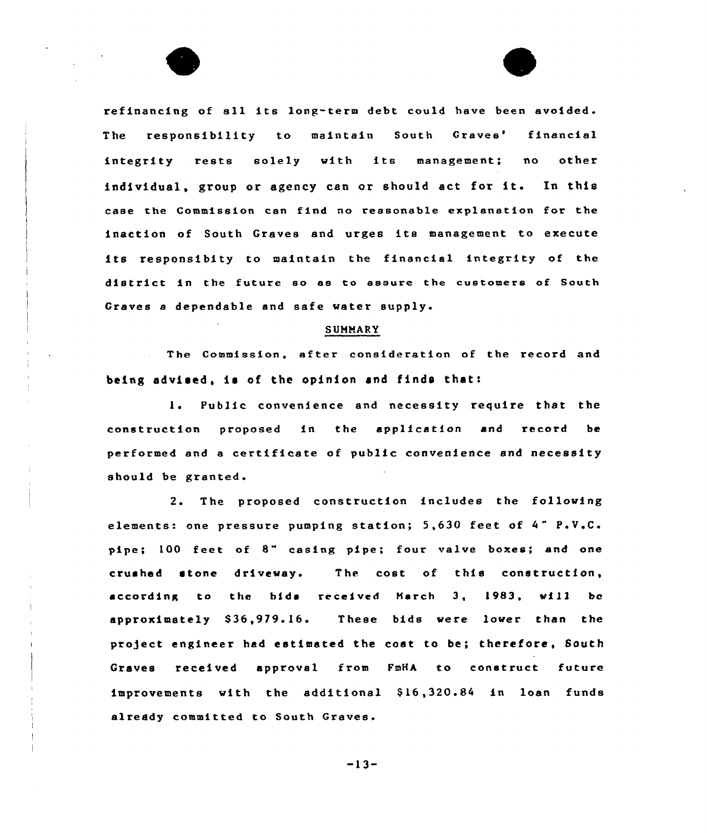refinancing of ell its long-term debt could have been avoided. The responsibility to maintain South Graves' financial integrity rests solely with its management; no other individual, group or agency can or should act for it. In this case the Commission cen find no reasonable explanation for the inaction of South Graves and urges its management to execute its responsibity to maintain the financial integrity of the district in the future so es to assure the customers of South Graves a dependable and safe water supply.

## SUMMARY

The Commission, after consideration of the record and being advised, is of the opinion and finds that:

1. Public convenience and necessity require that the construction proposed in the application and record be performed end e certificate of public convenience and necessity should be granted.

2. The proposed construction includes the following elements: one pressure pumping station; 5,630 feet of 4" P.V.C. pipe; <sup>100</sup> feet of 8" casing pipe: four valve boxes; and one crushed stone driveway. The cost of this construction, according to the bide  $recedved$  March 3, 1983, will be approximately \$36,979.16. These bids were lower than the project engineer had estimated the cost to be; therefore, South Graves received approval from FmHA to construct future improvements with the additional \$16,320.84 in loan funds already committed to South Craves.

-13-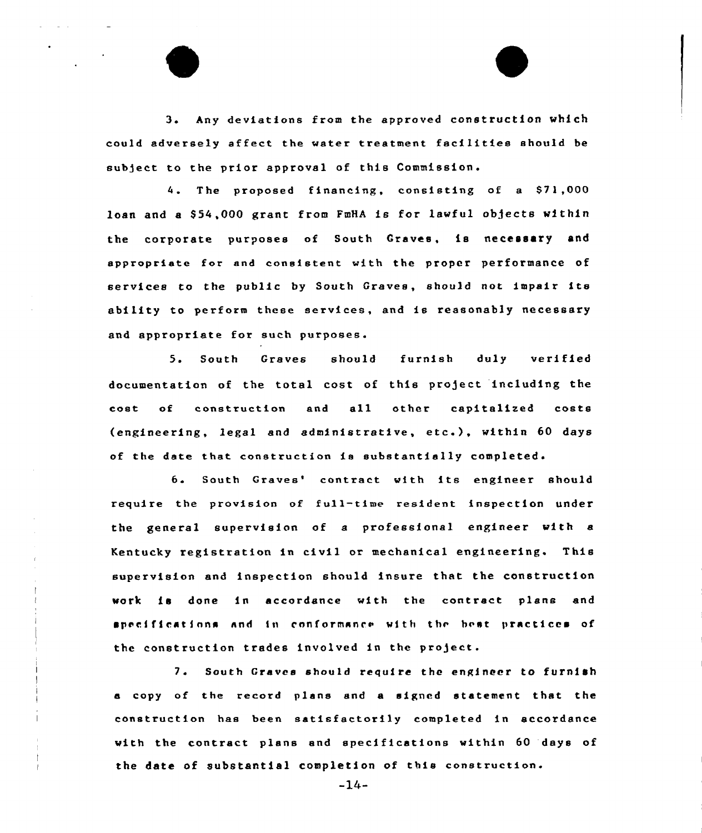3 <sup>~</sup> Any deviations from the approved construction which could adversely affect the water treatment facilities should be subject to the prior approval of this Commission.

4. The proposed financing, consisting of a \$71,000 loan and a \$54,000 grant from FmHA is for lawful objects within the corporate purposes of South Craves, is necessary and appropriate for and consistent with the proper performance of services to the public by South Graves, should not impair its ability to perform these services, and is reasonably necessary and appropriate for such purposes.

5. South Graves should furnish duly verified documentation of the total cost of this project including the cost of construction and all other capitalized costs (engineering, legal and administrative, etc.), within <sup>60</sup> days of the date that construction is substantially completed.

6. South Graves' contract with its engineer should require the provision of full-time resident inspection under the general supervision of a professional engineer with a Kentucky registration in civil or mechanical engineering. This supervision and inspection should insure that the construction work is done in accordance with the contract plans and specifications and in conformance with the best practices of the construction trades involved in the project.

7. South Graves should require the engineer to furnish a copy of the record plans and a signed statement that the construction has been satisfactorily completed in accordance with the contract plans and specifications within 60 days of the date of substantial completion of this construction.

 $-14-$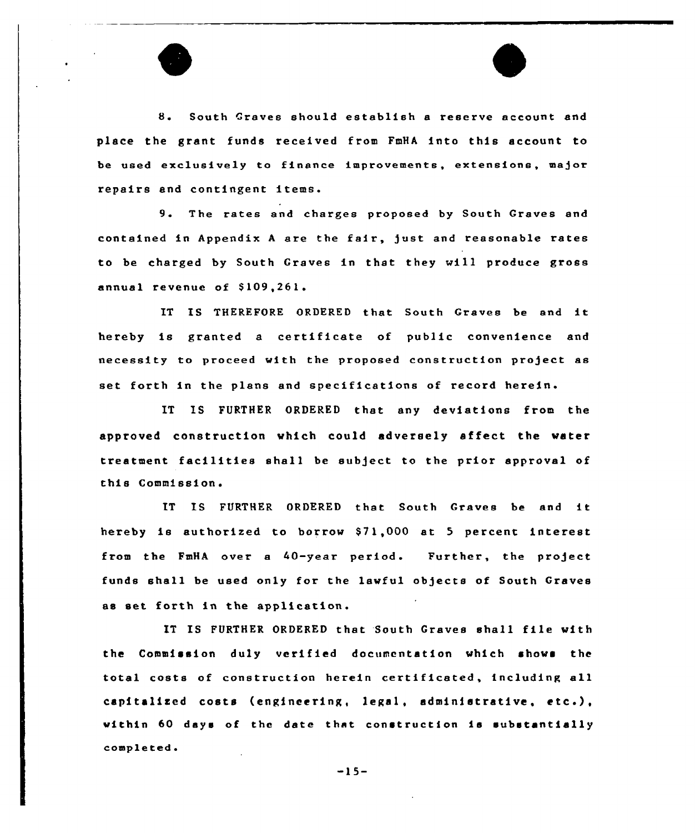

8. South Graves should establish <sup>a</sup> reserve account and place the grant funds received from FmHA into this account to be used exclusively to finance improvements, extensions, major repairs and contingent items.

9. The rates and charges proposed by South Graves and contained in Appendix <sup>A</sup> are the fair, just and reasonable rates to be charged by South Graves in that they will produce gross annual revenue of \$109,261.

IT IS THEREFORE ORDERED that South Graves be and it hereby is granted <sup>a</sup> certificate of public convenience and necessity to proceed with the proposed construction project as set forth in the plans and specifications of record herein.

IT IS FURTHER ORDERED that any deviations from the approved construction which could adversely affect the water treatment facilities shall be subject to the prior approval of this Commission.

IT IS FURTHER ORDERED that South Graves be and it. hereby is authorized to borrow \$71,000 at 5 percent interest from the FmHA over a 40-year period. Further, the project funds shall be used only for the lawful objects of South Graves as set forth in the application.

IT IS FURTHER ORDERED that South Graves shall file with the Commission duly verified documentation which shows the total costs of construction herein certificated, including all capitalized costs (engineering, legal, administrative, etc.), within 60 days of the date that construction is substantially completed.

 $-15-$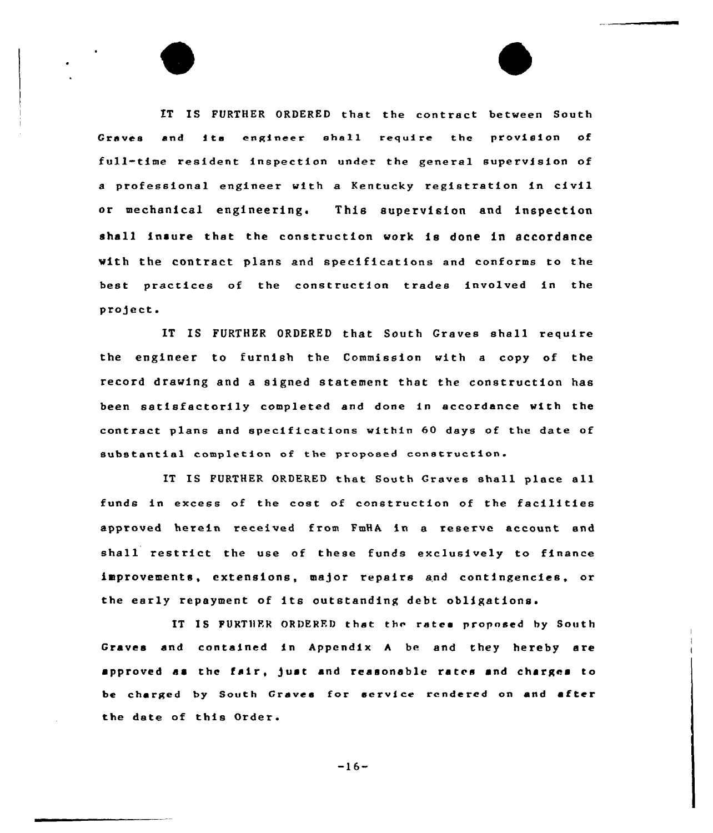IT IS FURTHER ORDERED that the contract between South Graves end ita engineer shall require the provision of full-time resident inspection under the general supervision of a professional engineer with a Kentucky registration in civil or mechanical engineering. This supervision and inspection shall insure that the construction work is done in accordance with the contract plans and specifications end conforms to the best practices of the construction trades involved in the project.

IT IS FURTHER ORDERED that South Craves shall require the engineer to furnish the Commission with a copy of the record drawing and a signed statement that the construction has been satisfactorily completed and done in accordance with the contract plans and specifications within 60 days of the date of substantial completion of the proposed construction.

IT IS FURTHER ORDERED that South Graves shall place all funds in excess of the cost of construction of the facilities approved herein received from FmHA in e reserve account end shall restrict the use of these funds exclusively to finance improvements, extensions, major repairs end contingencies, or the early repayment of its outstanding debt obligations.

IT IS FURTHER ORDERED that the rates proposed by South Craves and contained in Appendix <sup>A</sup> be end they hereby are approved as the fair, )uat and reasonable rates and charges to be charged by South Graves for service rendered on and after the date of this Order.

 $-16-$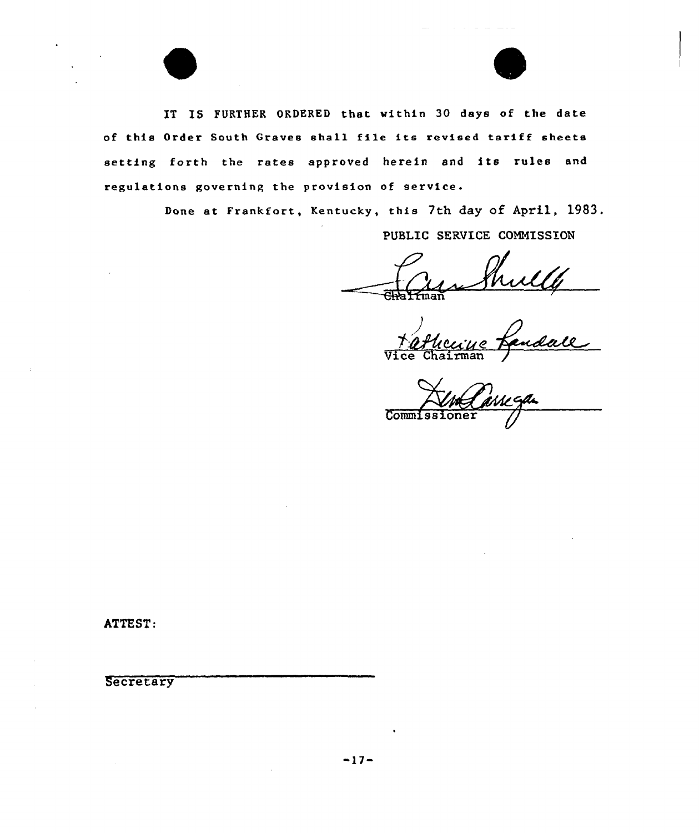



IT IS FURTHER ORDERED that within 30 days of the date of this Order South Graves shall file its revised tariff sheets setting forth the rates approved herein and its rules and regulations governing the provision of service.

Done at Frankfort, Kentucky, this 7th day of April, 1983.

PUBLIC SERVICE COMMISSION

<u>Hicciue</u> Vice Chairma

Commissioner

ATTEST:

**Secretary**